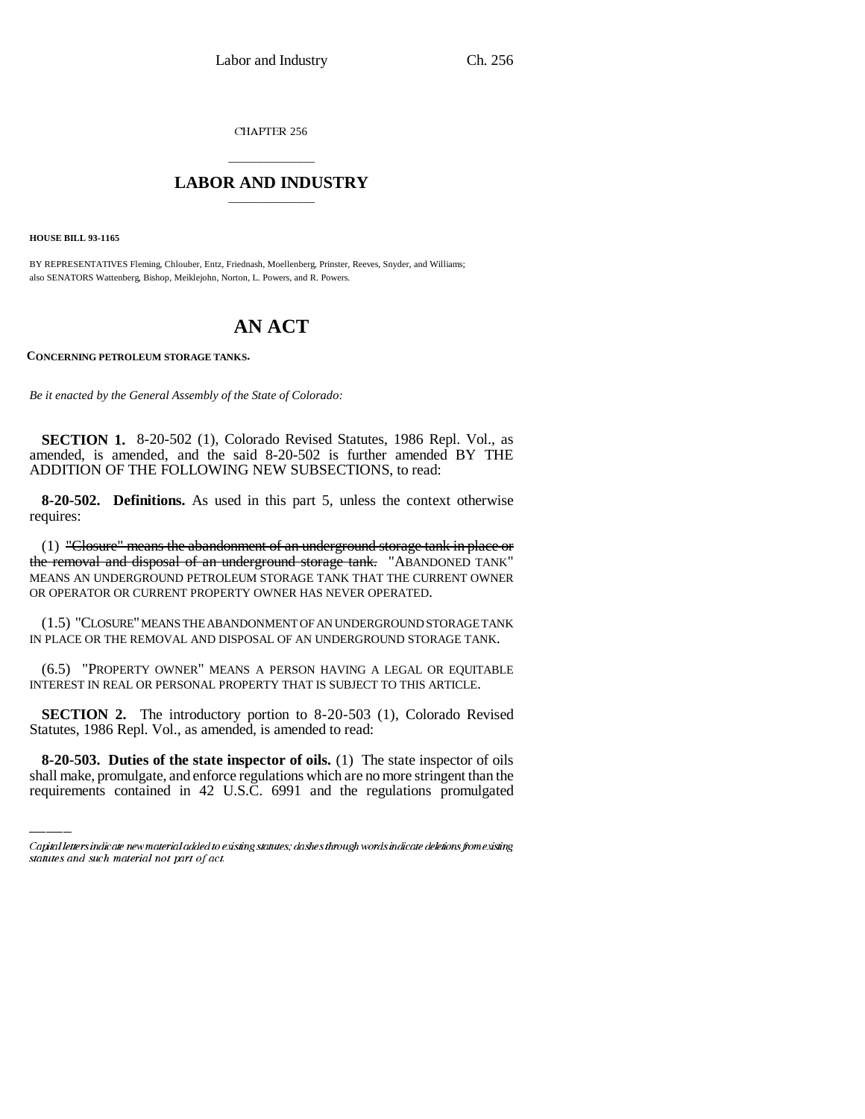CHAPTER 256

## \_\_\_\_\_\_\_\_\_\_\_\_\_\_\_ **LABOR AND INDUSTRY** \_\_\_\_\_\_\_\_\_\_\_\_\_\_\_

**HOUSE BILL 93-1165**

BY REPRESENTATIVES Fleming, Chlouber, Entz, Friednash, Moellenberg, Prinster, Reeves, Snyder, and Williams; also SENATORS Wattenberg, Bishop, Meiklejohn, Norton, L. Powers, and R. Powers.

# **AN ACT**

**CONCERNING PETROLEUM STORAGE TANKS.**

*Be it enacted by the General Assembly of the State of Colorado:*

**SECTION 1.** 8-20-502 (1), Colorado Revised Statutes, 1986 Repl. Vol., as amended, is amended, and the said 8-20-502 is further amended BY THE ADDITION OF THE FOLLOWING NEW SUBSECTIONS, to read:

**8-20-502. Definitions.** As used in this part 5, unless the context otherwise requires:

(1) "Closure" means the abandonment of an underground storage tank in place or the removal and disposal of an underground storage tank. "ABANDONED TANK" MEANS AN UNDERGROUND PETROLEUM STORAGE TANK THAT THE CURRENT OWNER OR OPERATOR OR CURRENT PROPERTY OWNER HAS NEVER OPERATED.

(1.5) "CLOSURE" MEANS THE ABANDONMENT OF AN UNDERGROUND STORAGE TANK IN PLACE OR THE REMOVAL AND DISPOSAL OF AN UNDERGROUND STORAGE TANK.

(6.5) "PROPERTY OWNER" MEANS A PERSON HAVING A LEGAL OR EQUITABLE INTEREST IN REAL OR PERSONAL PROPERTY THAT IS SUBJECT TO THIS ARTICLE.

Statutes, 1986 Repl. Vol., as amended, is amended to read: **SECTION 2.** The introductory portion to 8-20-503 (1), Colorado Revised

**8-20-503. Duties of the state inspector of oils.** (1) The state inspector of oils shall make, promulgate, and enforce regulations which are no more stringent than the requirements contained in 42 U.S.C. 6991 and the regulations promulgated

Capital letters indicate new material added to existing statutes; dashes through words indicate deletions from existing statutes and such material not part of act.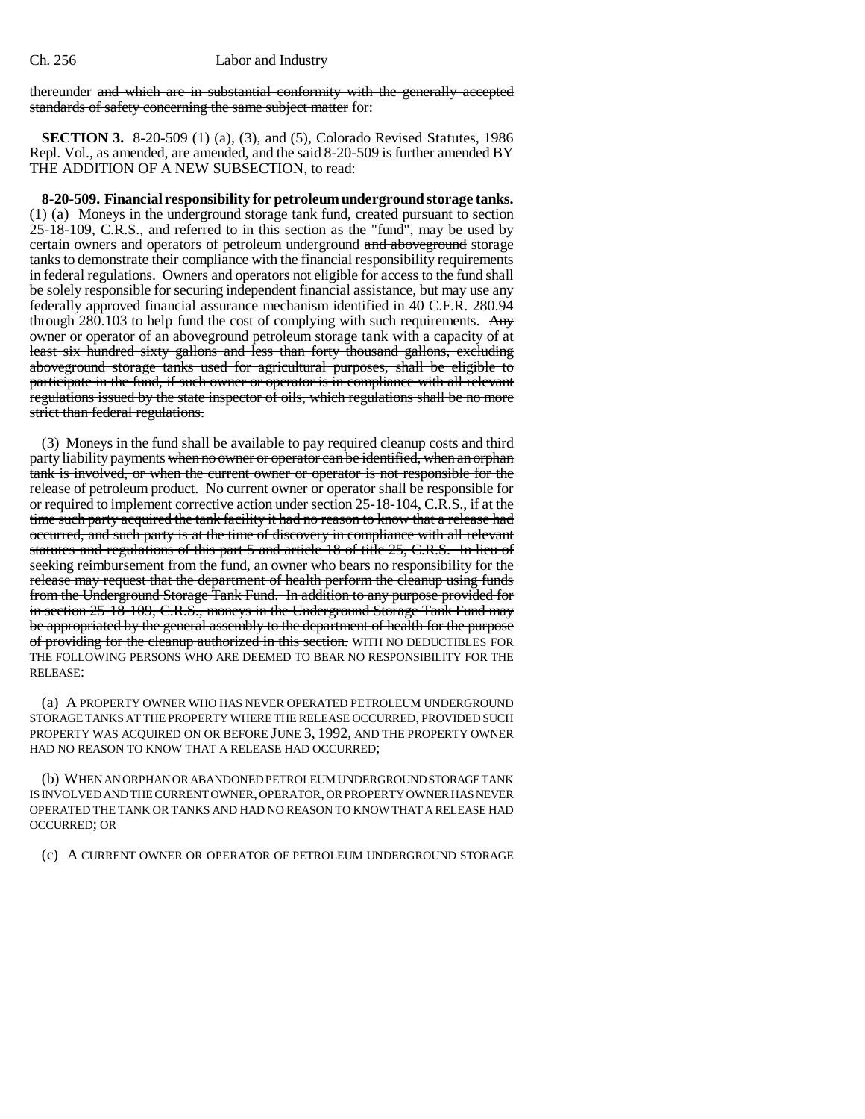thereunder and which are in substantial conformity with the generally accepted standards of safety concerning the same subject matter for:

**SECTION 3.** 8-20-509 (1) (a), (3), and (5), Colorado Revised Statutes, 1986 Repl. Vol., as amended, are amended, and the said 8-20-509 is further amended BY THE ADDITION OF A NEW SUBSECTION, to read:

**8-20-509. Financial responsibility for petroleum underground storage tanks.** (1) (a) Moneys in the underground storage tank fund, created pursuant to section 25-18-109, C.R.S., and referred to in this section as the "fund", may be used by certain owners and operators of petroleum underground and above ground storage tanks to demonstrate their compliance with the financial responsibility requirements in federal regulations. Owners and operators not eligible for access to the fund shall be solely responsible for securing independent financial assistance, but may use any federally approved financial assurance mechanism identified in 40 C.F.R. 280.94 through 280.103 to help fund the cost of complying with such requirements.  $\text{Any}$ owner or operator of an aboveground petroleum storage tank with a capacity of at least six hundred sixty gallons and less than forty thousand gallons, excluding aboveground storage tanks used for agricultural purposes, shall be eligible to participate in the fund, if such owner or operator is in compliance with all relevant regulations issued by the state inspector of oils, which regulations shall be no more strict than federal regulations.

(3) Moneys in the fund shall be available to pay required cleanup costs and third party liability payments when no owner or operator can be identified, when an orphan tank is involved, or when the current owner or operator is not responsible for the release of petroleum product. No current owner or operator shall be responsible for or required to implement corrective action under section 25-18-104, C.R.S., if at the time such party acquired the tank facility it had no reason to know that a release had occurred, and such party is at the time of discovery in compliance with all relevant statutes and regulations of this part 5 and article 18 of title 25, C.R.S. In lieu of seeking reimbursement from the fund, an owner who bears no responsibility for the release may request that the department of health perform the cleanup using funds from the Underground Storage Tank Fund. In addition to any purpose provided for in section 25-18-109, C.R.S., moneys in the Underground Storage Tank Fund may be appropriated by the general assembly to the department of health for the purpose of providing for the cleanup authorized in this section. WITH NO DEDUCTIBLES FOR THE FOLLOWING PERSONS WHO ARE DEEMED TO BEAR NO RESPONSIBILITY FOR THE RELEASE:

(a) A PROPERTY OWNER WHO HAS NEVER OPERATED PETROLEUM UNDERGROUND STORAGE TANKS AT THE PROPERTY WHERE THE RELEASE OCCURRED, PROVIDED SUCH PROPERTY WAS ACQUIRED ON OR BEFORE JUNE 3, 1992, AND THE PROPERTY OWNER HAD NO REASON TO KNOW THAT A RELEASE HAD OCCURRED;

(b) WHEN AN ORPHAN OR ABANDONED PETROLEUM UNDERGROUND STORAGE TANK IS INVOLVED AND THE CURRENT OWNER, OPERATOR, OR PROPERTY OWNER HAS NEVER OPERATED THE TANK OR TANKS AND HAD NO REASON TO KNOW THAT A RELEASE HAD OCCURRED; OR

(c) A CURRENT OWNER OR OPERATOR OF PETROLEUM UNDERGROUND STORAGE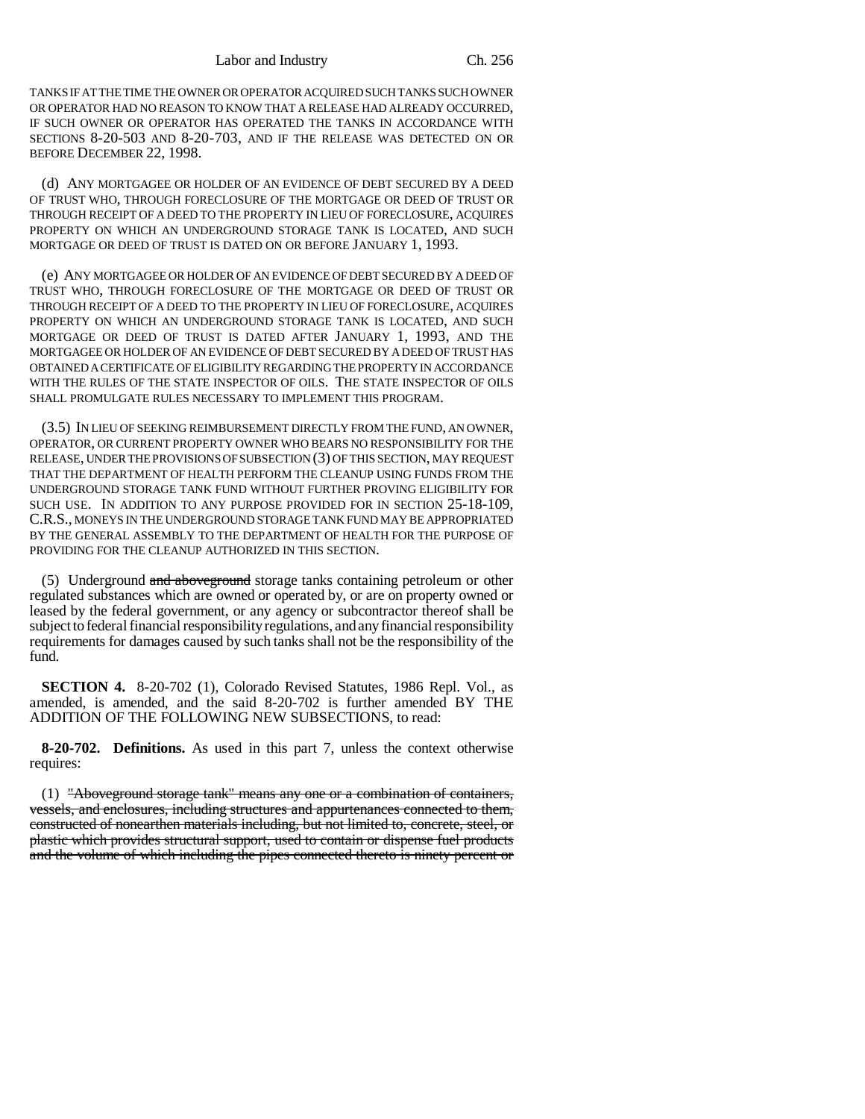Labor and Industry Ch. 256

TANKS IF AT THE TIME THE OWNER OR OPERATOR ACQUIRED SUCH TANKS SUCH OWNER OR OPERATOR HAD NO REASON TO KNOW THAT A RELEASE HAD ALREADY OCCURRED, IF SUCH OWNER OR OPERATOR HAS OPERATED THE TANKS IN ACCORDANCE WITH SECTIONS 8-20-503 AND 8-20-703, AND IF THE RELEASE WAS DETECTED ON OR BEFORE DECEMBER 22, 1998.

(d) ANY MORTGAGEE OR HOLDER OF AN EVIDENCE OF DEBT SECURED BY A DEED OF TRUST WHO, THROUGH FORECLOSURE OF THE MORTGAGE OR DEED OF TRUST OR THROUGH RECEIPT OF A DEED TO THE PROPERTY IN LIEU OF FORECLOSURE, ACQUIRES PROPERTY ON WHICH AN UNDERGROUND STORAGE TANK IS LOCATED, AND SUCH MORTGAGE OR DEED OF TRUST IS DATED ON OR BEFORE JANUARY 1, 1993.

(e) ANY MORTGAGEE OR HOLDER OF AN EVIDENCE OF DEBT SECURED BY A DEED OF TRUST WHO, THROUGH FORECLOSURE OF THE MORTGAGE OR DEED OF TRUST OR THROUGH RECEIPT OF A DEED TO THE PROPERTY IN LIEU OF FORECLOSURE, ACQUIRES PROPERTY ON WHICH AN UNDERGROUND STORAGE TANK IS LOCATED, AND SUCH MORTGAGE OR DEED OF TRUST IS DATED AFTER JANUARY 1, 1993, AND THE MORTGAGEE OR HOLDER OF AN EVIDENCE OF DEBT SECURED BY A DEED OF TRUST HAS OBTAINED A CERTIFICATE OF ELIGIBILITY REGARDING THE PROPERTY IN ACCORDANCE WITH THE RULES OF THE STATE INSPECTOR OF OILS. THE STATE INSPECTOR OF OILS SHALL PROMULGATE RULES NECESSARY TO IMPLEMENT THIS PROGRAM.

(3.5) IN LIEU OF SEEKING REIMBURSEMENT DIRECTLY FROM THE FUND, AN OWNER, OPERATOR, OR CURRENT PROPERTY OWNER WHO BEARS NO RESPONSIBILITY FOR THE RELEASE, UNDER THE PROVISIONS OF SUBSECTION (3) OF THIS SECTION, MAY REQUEST THAT THE DEPARTMENT OF HEALTH PERFORM THE CLEANUP USING FUNDS FROM THE UNDERGROUND STORAGE TANK FUND WITHOUT FURTHER PROVING ELIGIBILITY FOR SUCH USE. IN ADDITION TO ANY PURPOSE PROVIDED FOR IN SECTION 25-18-109, C.R.S., MONEYS IN THE UNDERGROUND STORAGE TANK FUND MAY BE APPROPRIATED BY THE GENERAL ASSEMBLY TO THE DEPARTMENT OF HEALTH FOR THE PURPOSE OF PROVIDING FOR THE CLEANUP AUTHORIZED IN THIS SECTION.

(5) Underground and aboveground storage tanks containing petroleum or other regulated substances which are owned or operated by, or are on property owned or leased by the federal government, or any agency or subcontractor thereof shall be subject to federal financial responsibility regulations, and any financial responsibility requirements for damages caused by such tanks shall not be the responsibility of the fund.

**SECTION 4.** 8-20-702 (1), Colorado Revised Statutes, 1986 Repl. Vol., as amended, is amended, and the said 8-20-702 is further amended BY THE ADDITION OF THE FOLLOWING NEW SUBSECTIONS, to read:

**8-20-702. Definitions.** As used in this part 7, unless the context otherwise requires:

(1) "Aboveground storage tank" means any one or a combination of containers, vessels, and enclosures, including structures and appurtenances connected to them, constructed of nonearthen materials including, but not limited to, concrete, steel, or plastic which provides structural support, used to contain or dispense fuel products and the volume of which including the pipes connected thereto is ninety percent or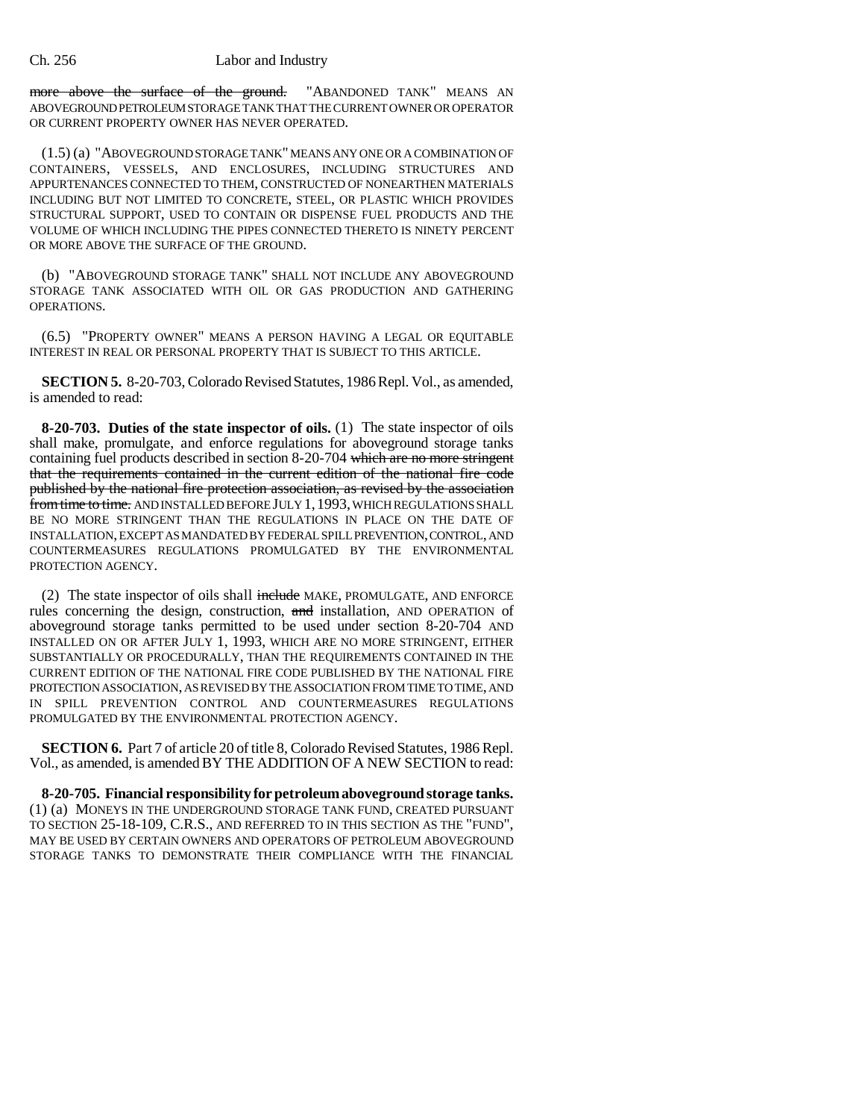#### Ch. 256 Labor and Industry

more above the surface of the ground. "ABANDONED TANK" MEANS AN ABOVEGROUND PETROLEUM STORAGE TANK THAT THE CURRENT OWNER OR OPERATOR OR CURRENT PROPERTY OWNER HAS NEVER OPERATED.

(1.5) (a) "ABOVEGROUND STORAGE TANK" MEANS ANY ONE OR A COMBINATION OF CONTAINERS, VESSELS, AND ENCLOSURES, INCLUDING STRUCTURES AND APPURTENANCES CONNECTED TO THEM, CONSTRUCTED OF NONEARTHEN MATERIALS INCLUDING BUT NOT LIMITED TO CONCRETE, STEEL, OR PLASTIC WHICH PROVIDES STRUCTURAL SUPPORT, USED TO CONTAIN OR DISPENSE FUEL PRODUCTS AND THE VOLUME OF WHICH INCLUDING THE PIPES CONNECTED THERETO IS NINETY PERCENT OR MORE ABOVE THE SURFACE OF THE GROUND.

(b) "ABOVEGROUND STORAGE TANK" SHALL NOT INCLUDE ANY ABOVEGROUND STORAGE TANK ASSOCIATED WITH OIL OR GAS PRODUCTION AND GATHERING OPERATIONS.

(6.5) "PROPERTY OWNER" MEANS A PERSON HAVING A LEGAL OR EQUITABLE INTEREST IN REAL OR PERSONAL PROPERTY THAT IS SUBJECT TO THIS ARTICLE.

**SECTION 5.** 8-20-703, Colorado Revised Statutes, 1986 Repl. Vol., as amended, is amended to read:

**8-20-703. Duties of the state inspector of oils.** (1) The state inspector of oils shall make, promulgate, and enforce regulations for aboveground storage tanks containing fuel products described in section 8-20-704 which are no more stringent that the requirements contained in the current edition of the national fire code published by the national fire protection association, as revised by the association from time to time. AND INSTALLED BEFORE JULY 1,1993, WHICH REGULATIONS SHALL BE NO MORE STRINGENT THAN THE REGULATIONS IN PLACE ON THE DATE OF INSTALLATION, EXCEPT AS MANDATED BY FEDERAL SPILL PREVENTION, CONTROL, AND COUNTERMEASURES REGULATIONS PROMULGATED BY THE ENVIRONMENTAL PROTECTION AGENCY.

(2) The state inspector of oils shall include MAKE, PROMULGATE, AND ENFORCE rules concerning the design, construction, and installation, AND OPERATION of aboveground storage tanks permitted to be used under section 8-20-704 AND INSTALLED ON OR AFTER JULY 1, 1993, WHICH ARE NO MORE STRINGENT, EITHER SUBSTANTIALLY OR PROCEDURALLY, THAN THE REQUIREMENTS CONTAINED IN THE CURRENT EDITION OF THE NATIONAL FIRE CODE PUBLISHED BY THE NATIONAL FIRE PROTECTION ASSOCIATION, AS REVISED BY THE ASSOCIATION FROM TIME TO TIME, AND IN SPILL PREVENTION CONTROL AND COUNTERMEASURES REGULATIONS PROMULGATED BY THE ENVIRONMENTAL PROTECTION AGENCY.

**SECTION 6.** Part 7 of article 20 of title 8, Colorado Revised Statutes, 1986 Repl. Vol., as amended, is amended BY THE ADDITION OF A NEW SECTION to read:

**8-20-705. Financial responsibility for petroleum aboveground storage tanks.** (1) (a) MONEYS IN THE UNDERGROUND STORAGE TANK FUND, CREATED PURSUANT TO SECTION 25-18-109, C.R.S., AND REFERRED TO IN THIS SECTION AS THE "FUND", MAY BE USED BY CERTAIN OWNERS AND OPERATORS OF PETROLEUM ABOVEGROUND STORAGE TANKS TO DEMONSTRATE THEIR COMPLIANCE WITH THE FINANCIAL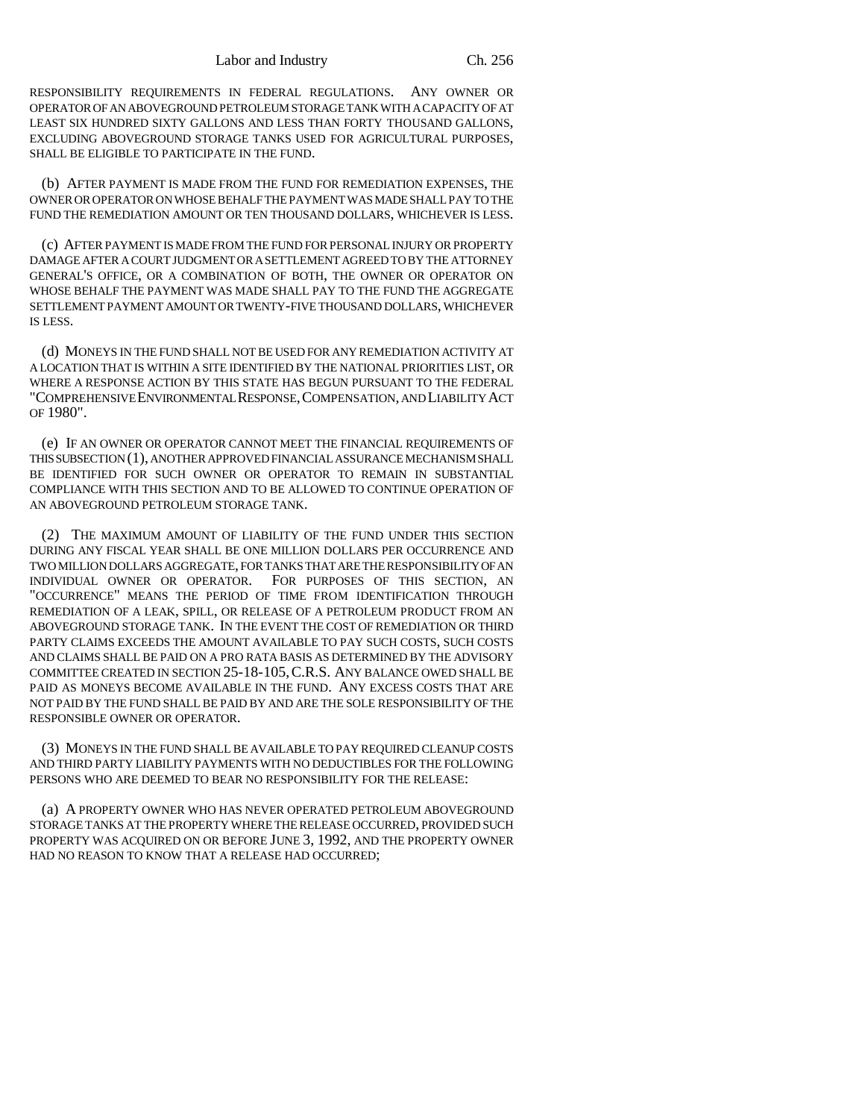RESPONSIBILITY REQUIREMENTS IN FEDERAL REGULATIONS. ANY OWNER OR OPERATOR OF AN ABOVEGROUND PETROLEUM STORAGE TANK WITH A CAPACITY OF AT LEAST SIX HUNDRED SIXTY GALLONS AND LESS THAN FORTY THOUSAND GALLONS, EXCLUDING ABOVEGROUND STORAGE TANKS USED FOR AGRICULTURAL PURPOSES, SHALL BE ELIGIBLE TO PARTICIPATE IN THE FUND.

(b) AFTER PAYMENT IS MADE FROM THE FUND FOR REMEDIATION EXPENSES, THE OWNER OR OPERATOR ON WHOSE BEHALF THE PAYMENT WAS MADE SHALL PAY TO THE FUND THE REMEDIATION AMOUNT OR TEN THOUSAND DOLLARS, WHICHEVER IS LESS.

(c) AFTER PAYMENT IS MADE FROM THE FUND FOR PERSONAL INJURY OR PROPERTY DAMAGE AFTER A COURT JUDGMENT OR A SETTLEMENT AGREED TO BY THE ATTORNEY GENERAL'S OFFICE, OR A COMBINATION OF BOTH, THE OWNER OR OPERATOR ON WHOSE BEHALF THE PAYMENT WAS MADE SHALL PAY TO THE FUND THE AGGREGATE SETTLEMENT PAYMENT AMOUNT OR TWENTY-FIVE THOUSAND DOLLARS, WHICHEVER IS LESS.

(d) MONEYS IN THE FUND SHALL NOT BE USED FOR ANY REMEDIATION ACTIVITY AT A LOCATION THAT IS WITHIN A SITE IDENTIFIED BY THE NATIONAL PRIORITIES LIST, OR WHERE A RESPONSE ACTION BY THIS STATE HAS BEGUN PURSUANT TO THE FEDERAL "COMPREHENSIVE ENVIRONMENTAL RESPONSE,COMPENSATION, AND LIABILITY ACT OF 1980".

(e) IF AN OWNER OR OPERATOR CANNOT MEET THE FINANCIAL REQUIREMENTS OF THIS SUBSECTION (1), ANOTHER APPROVED FINANCIAL ASSURANCE MECHANISM SHALL BE IDENTIFIED FOR SUCH OWNER OR OPERATOR TO REMAIN IN SUBSTANTIAL COMPLIANCE WITH THIS SECTION AND TO BE ALLOWED TO CONTINUE OPERATION OF AN ABOVEGROUND PETROLEUM STORAGE TANK.

(2) THE MAXIMUM AMOUNT OF LIABILITY OF THE FUND UNDER THIS SECTION DURING ANY FISCAL YEAR SHALL BE ONE MILLION DOLLARS PER OCCURRENCE AND TWO MILLION DOLLARS AGGREGATE, FOR TANKS THAT ARE THE RESPONSIBILITY OF AN INDIVIDUAL OWNER OR OPERATOR. FOR PURPOSES OF THIS SECTION, AN "OCCURRENCE" MEANS THE PERIOD OF TIME FROM IDENTIFICATION THROUGH REMEDIATION OF A LEAK, SPILL, OR RELEASE OF A PETROLEUM PRODUCT FROM AN ABOVEGROUND STORAGE TANK. IN THE EVENT THE COST OF REMEDIATION OR THIRD PARTY CLAIMS EXCEEDS THE AMOUNT AVAILABLE TO PAY SUCH COSTS, SUCH COSTS AND CLAIMS SHALL BE PAID ON A PRO RATA BASIS AS DETERMINED BY THE ADVISORY COMMITTEE CREATED IN SECTION 25-18-105,C.R.S. ANY BALANCE OWED SHALL BE PAID AS MONEYS BECOME AVAILABLE IN THE FUND. ANY EXCESS COSTS THAT ARE NOT PAID BY THE FUND SHALL BE PAID BY AND ARE THE SOLE RESPONSIBILITY OF THE RESPONSIBLE OWNER OR OPERATOR.

(3) MONEYS IN THE FUND SHALL BE AVAILABLE TO PAY REQUIRED CLEANUP COSTS AND THIRD PARTY LIABILITY PAYMENTS WITH NO DEDUCTIBLES FOR THE FOLLOWING PERSONS WHO ARE DEEMED TO BEAR NO RESPONSIBILITY FOR THE RELEASE:

(a) A PROPERTY OWNER WHO HAS NEVER OPERATED PETROLEUM ABOVEGROUND STORAGE TANKS AT THE PROPERTY WHERE THE RELEASE OCCURRED, PROVIDED SUCH PROPERTY WAS ACQUIRED ON OR BEFORE JUNE 3, 1992, AND THE PROPERTY OWNER HAD NO REASON TO KNOW THAT A RELEASE HAD OCCURRED;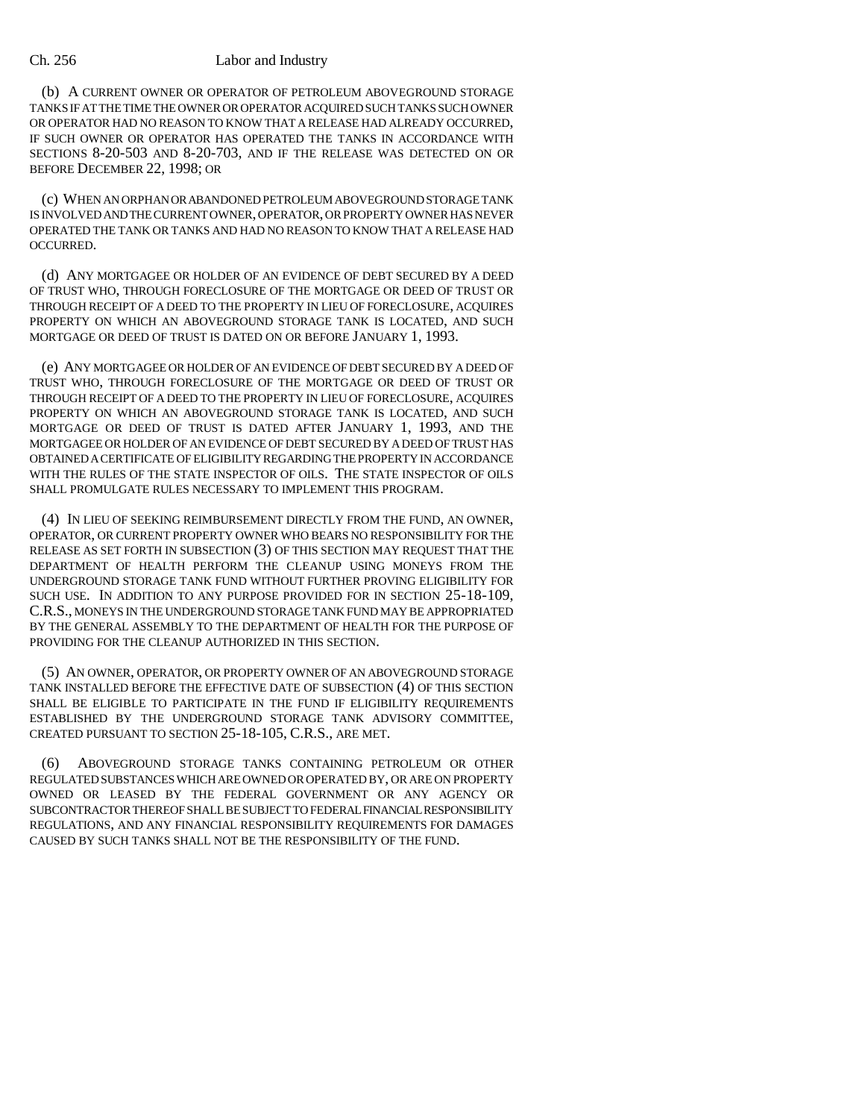#### Ch. 256 Labor and Industry

(b) A CURRENT OWNER OR OPERATOR OF PETROLEUM ABOVEGROUND STORAGE TANKS IF AT THE TIME THE OWNER OR OPERATOR ACQUIRED SUCH TANKS SUCH OWNER OR OPERATOR HAD NO REASON TO KNOW THAT A RELEASE HAD ALREADY OCCURRED, IF SUCH OWNER OR OPERATOR HAS OPERATED THE TANKS IN ACCORDANCE WITH SECTIONS 8-20-503 AND 8-20-703, AND IF THE RELEASE WAS DETECTED ON OR BEFORE DECEMBER 22, 1998; OR

(c) WHEN AN ORPHAN OR ABANDONED PETROLEUM ABOVEGROUND STORAGE TANK IS INVOLVED AND THE CURRENT OWNER, OPERATOR, OR PROPERTY OWNER HAS NEVER OPERATED THE TANK OR TANKS AND HAD NO REASON TO KNOW THAT A RELEASE HAD OCCURRED.

(d) ANY MORTGAGEE OR HOLDER OF AN EVIDENCE OF DEBT SECURED BY A DEED OF TRUST WHO, THROUGH FORECLOSURE OF THE MORTGAGE OR DEED OF TRUST OR THROUGH RECEIPT OF A DEED TO THE PROPERTY IN LIEU OF FORECLOSURE, ACQUIRES PROPERTY ON WHICH AN ABOVEGROUND STORAGE TANK IS LOCATED, AND SUCH MORTGAGE OR DEED OF TRUST IS DATED ON OR BEFORE JANUARY 1, 1993.

(e) ANY MORTGAGEE OR HOLDER OF AN EVIDENCE OF DEBT SECURED BY A DEED OF TRUST WHO, THROUGH FORECLOSURE OF THE MORTGAGE OR DEED OF TRUST OR THROUGH RECEIPT OF A DEED TO THE PROPERTY IN LIEU OF FORECLOSURE, ACQUIRES PROPERTY ON WHICH AN ABOVEGROUND STORAGE TANK IS LOCATED, AND SUCH MORTGAGE OR DEED OF TRUST IS DATED AFTER JANUARY 1, 1993, AND THE MORTGAGEE OR HOLDER OF AN EVIDENCE OF DEBT SECURED BY A DEED OF TRUST HAS OBTAINED A CERTIFICATE OF ELIGIBILITY REGARDING THE PROPERTY IN ACCORDANCE WITH THE RULES OF THE STATE INSPECTOR OF OILS. THE STATE INSPECTOR OF OILS SHALL PROMULGATE RULES NECESSARY TO IMPLEMENT THIS PROGRAM.

(4) IN LIEU OF SEEKING REIMBURSEMENT DIRECTLY FROM THE FUND, AN OWNER, OPERATOR, OR CURRENT PROPERTY OWNER WHO BEARS NO RESPONSIBILITY FOR THE RELEASE AS SET FORTH IN SUBSECTION (3) OF THIS SECTION MAY REQUEST THAT THE DEPARTMENT OF HEALTH PERFORM THE CLEANUP USING MONEYS FROM THE UNDERGROUND STORAGE TANK FUND WITHOUT FURTHER PROVING ELIGIBILITY FOR SUCH USE. IN ADDITION TO ANY PURPOSE PROVIDED FOR IN SECTION 25-18-109, C.R.S., MONEYS IN THE UNDERGROUND STORAGE TANK FUND MAY BE APPROPRIATED BY THE GENERAL ASSEMBLY TO THE DEPARTMENT OF HEALTH FOR THE PURPOSE OF PROVIDING FOR THE CLEANUP AUTHORIZED IN THIS SECTION.

(5) AN OWNER, OPERATOR, OR PROPERTY OWNER OF AN ABOVEGROUND STORAGE TANK INSTALLED BEFORE THE EFFECTIVE DATE OF SUBSECTION (4) OF THIS SECTION SHALL BE ELIGIBLE TO PARTICIPATE IN THE FUND IF ELIGIBILITY REQUIREMENTS ESTABLISHED BY THE UNDERGROUND STORAGE TANK ADVISORY COMMITTEE, CREATED PURSUANT TO SECTION 25-18-105, C.R.S., ARE MET.

(6) ABOVEGROUND STORAGE TANKS CONTAINING PETROLEUM OR OTHER REGULATED SUBSTANCES WHICH ARE OWNED OR OPERATED BY, OR ARE ON PROPERTY OWNED OR LEASED BY THE FEDERAL GOVERNMENT OR ANY AGENCY OR SUBCONTRACTOR THEREOF SHALL BE SUBJECT TO FEDERAL FINANCIAL RESPONSIBILITY REGULATIONS, AND ANY FINANCIAL RESPONSIBILITY REQUIREMENTS FOR DAMAGES CAUSED BY SUCH TANKS SHALL NOT BE THE RESPONSIBILITY OF THE FUND.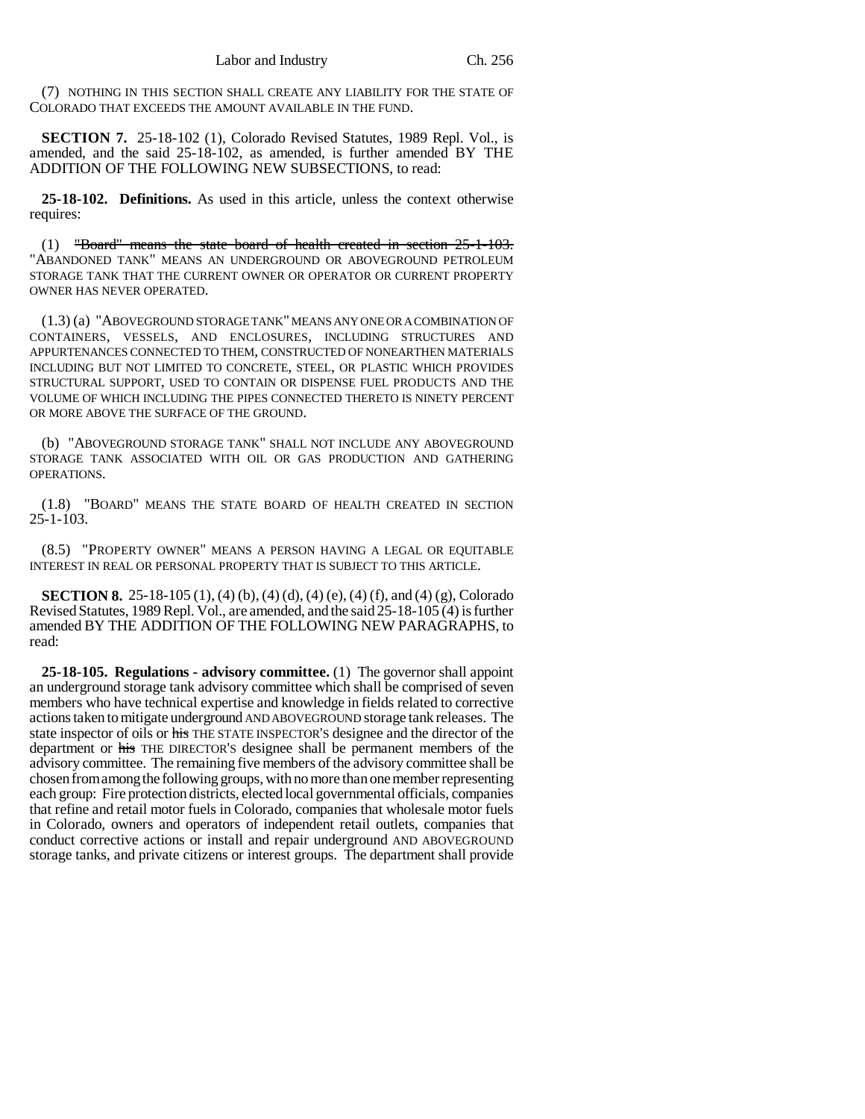(7) NOTHING IN THIS SECTION SHALL CREATE ANY LIABILITY FOR THE STATE OF COLORADO THAT EXCEEDS THE AMOUNT AVAILABLE IN THE FUND.

**SECTION 7.** 25-18-102 (1), Colorado Revised Statutes, 1989 Repl. Vol., is amended, and the said 25-18-102, as amended, is further amended BY THE ADDITION OF THE FOLLOWING NEW SUBSECTIONS, to read:

**25-18-102. Definitions.** As used in this article, unless the context otherwise requires:

(1) "Board" means the state board of health created in section 25-1-103. "ABANDONED TANK" MEANS AN UNDERGROUND OR ABOVEGROUND PETROLEUM STORAGE TANK THAT THE CURRENT OWNER OR OPERATOR OR CURRENT PROPERTY OWNER HAS NEVER OPERATED.

(1.3) (a) "ABOVEGROUND STORAGE TANK" MEANS ANY ONE OR A COMBINATION OF CONTAINERS, VESSELS, AND ENCLOSURES, INCLUDING STRUCTURES AND APPURTENANCES CONNECTED TO THEM, CONSTRUCTED OF NONEARTHEN MATERIALS INCLUDING BUT NOT LIMITED TO CONCRETE, STEEL, OR PLASTIC WHICH PROVIDES STRUCTURAL SUPPORT, USED TO CONTAIN OR DISPENSE FUEL PRODUCTS AND THE VOLUME OF WHICH INCLUDING THE PIPES CONNECTED THERETO IS NINETY PERCENT OR MORE ABOVE THE SURFACE OF THE GROUND.

(b) "ABOVEGROUND STORAGE TANK" SHALL NOT INCLUDE ANY ABOVEGROUND STORAGE TANK ASSOCIATED WITH OIL OR GAS PRODUCTION AND GATHERING OPERATIONS.

(1.8) "BOARD" MEANS THE STATE BOARD OF HEALTH CREATED IN SECTION 25-1-103.

(8.5) "PROPERTY OWNER" MEANS A PERSON HAVING A LEGAL OR EQUITABLE INTEREST IN REAL OR PERSONAL PROPERTY THAT IS SUBJECT TO THIS ARTICLE.

**SECTION 8.** 25-18-105 (1), (4) (b), (4) (d), (4) (e), (4) (f), and (4) (g), Colorado Revised Statutes, 1989 Repl. Vol., are amended, and the said 25-18-105 (4) is further amended BY THE ADDITION OF THE FOLLOWING NEW PARAGRAPHS, to read:

**25-18-105. Regulations - advisory committee.** (1) The governor shall appoint an underground storage tank advisory committee which shall be comprised of seven members who have technical expertise and knowledge in fields related to corrective actions taken to mitigate underground AND ABOVEGROUND storage tank releases. The state inspector of oils or his THE STATE INSPECTOR'S designee and the director of the department or his THE DIRECTOR'S designee shall be permanent members of the advisory committee. The remaining five members of the advisory committee shall be chosen from among the following groups, with no more than one member representing each group: Fire protection districts, elected local governmental officials, companies that refine and retail motor fuels in Colorado, companies that wholesale motor fuels in Colorado, owners and operators of independent retail outlets, companies that conduct corrective actions or install and repair underground AND ABOVEGROUND storage tanks, and private citizens or interest groups. The department shall provide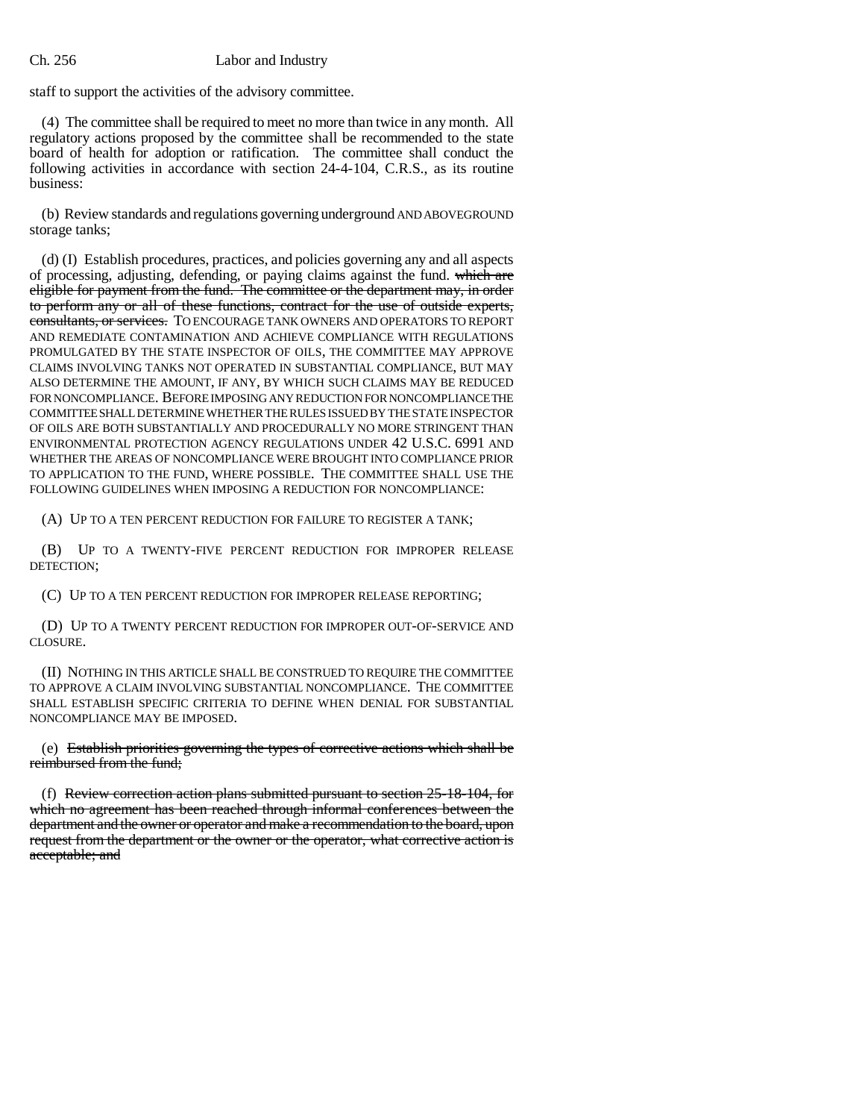### Ch. 256 Labor and Industry

staff to support the activities of the advisory committee.

(4) The committee shall be required to meet no more than twice in any month. All regulatory actions proposed by the committee shall be recommended to the state board of health for adoption or ratification. The committee shall conduct the following activities in accordance with section 24-4-104, C.R.S., as its routine business:

(b) Review standards and regulations governing underground AND ABOVEGROUND storage tanks;

(d) (I) Establish procedures, practices, and policies governing any and all aspects of processing, adjusting, defending, or paying claims against the fund. which are eligible for payment from the fund. The committee or the department may, in order to perform any or all of these functions, contract for the use of outside experts, consultants, or services. TO ENCOURAGE TANK OWNERS AND OPERATORS TO REPORT AND REMEDIATE CONTAMINATION AND ACHIEVE COMPLIANCE WITH REGULATIONS PROMULGATED BY THE STATE INSPECTOR OF OILS, THE COMMITTEE MAY APPROVE CLAIMS INVOLVING TANKS NOT OPERATED IN SUBSTANTIAL COMPLIANCE, BUT MAY ALSO DETERMINE THE AMOUNT, IF ANY, BY WHICH SUCH CLAIMS MAY BE REDUCED FOR NONCOMPLIANCE. BEFORE IMPOSING ANY REDUCTION FOR NONCOMPLIANCE THE COMMITTEE SHALL DETERMINE WHETHER THE RULES ISSUED BY THE STATE INSPECTOR OF OILS ARE BOTH SUBSTANTIALLY AND PROCEDURALLY NO MORE STRINGENT THAN ENVIRONMENTAL PROTECTION AGENCY REGULATIONS UNDER 42 U.S.C. 6991 AND WHETHER THE AREAS OF NONCOMPLIANCE WERE BROUGHT INTO COMPLIANCE PRIOR TO APPLICATION TO THE FUND, WHERE POSSIBLE. THE COMMITTEE SHALL USE THE FOLLOWING GUIDELINES WHEN IMPOSING A REDUCTION FOR NONCOMPLIANCE:

(A) UP TO A TEN PERCENT REDUCTION FOR FAILURE TO REGISTER A TANK;

(B) UP TO A TWENTY-FIVE PERCENT REDUCTION FOR IMPROPER RELEASE DETECTION;

(C) UP TO A TEN PERCENT REDUCTION FOR IMPROPER RELEASE REPORTING;

(D) UP TO A TWENTY PERCENT REDUCTION FOR IMPROPER OUT-OF-SERVICE AND CLOSURE.

(II) NOTHING IN THIS ARTICLE SHALL BE CONSTRUED TO REQUIRE THE COMMITTEE TO APPROVE A CLAIM INVOLVING SUBSTANTIAL NONCOMPLIANCE. THE COMMITTEE SHALL ESTABLISH SPECIFIC CRITERIA TO DEFINE WHEN DENIAL FOR SUBSTANTIAL NONCOMPLIANCE MAY BE IMPOSED.

(e) Establish priorities governing the types of corrective actions which shall be reimbursed from the fund;

(f) Review correction action plans submitted pursuant to section 25-18-104, for which no agreement has been reached through informal conferences between the department and the owner or operator and make a recommendation to the board, upon request from the department or the owner or the operator, what corrective action is acceptable; and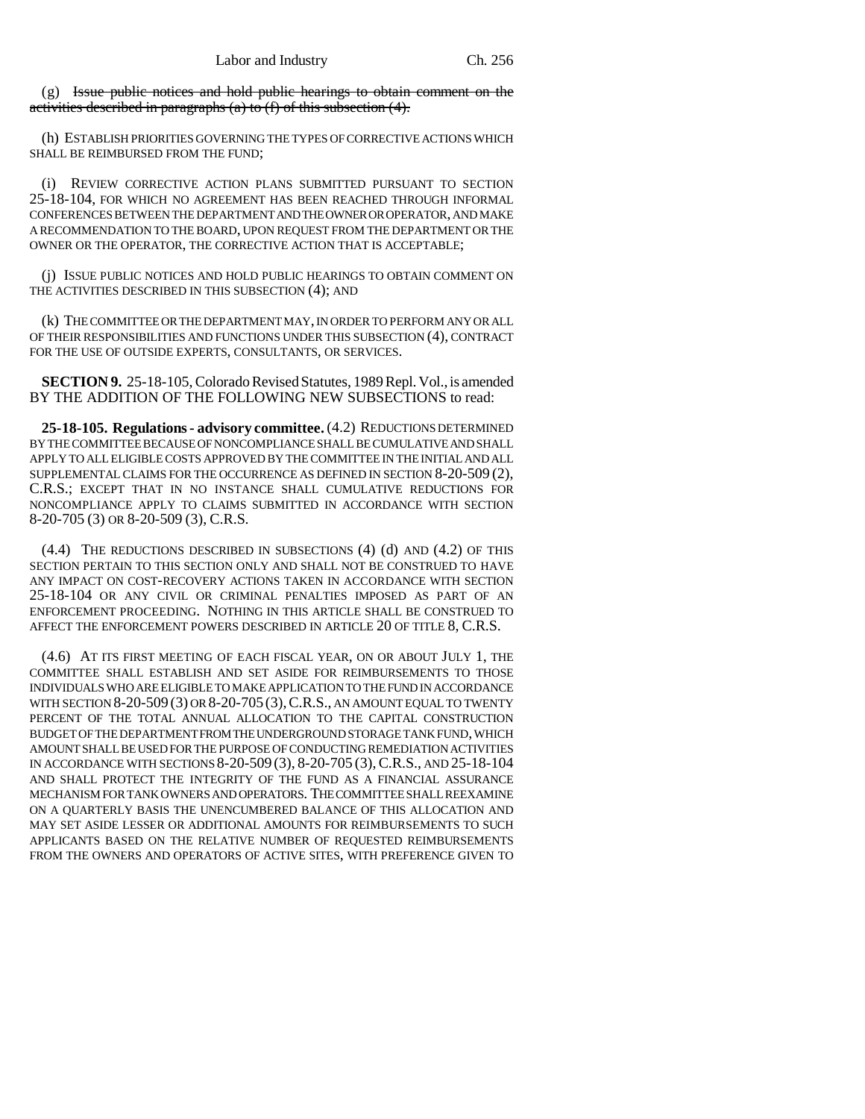(g) Issue public notices and hold public hearings to obtain comment on the activities described in paragraphs (a) to  $(f)$  of this subsection  $(4)$ .

(h) ESTABLISH PRIORITIES GOVERNING THE TYPES OF CORRECTIVE ACTIONS WHICH SHALL BE REIMBURSED FROM THE FUND;

(i) REVIEW CORRECTIVE ACTION PLANS SUBMITTED PURSUANT TO SECTION 25-18-104, FOR WHICH NO AGREEMENT HAS BEEN REACHED THROUGH INFORMAL CONFERENCES BETWEEN THE DEPARTMENT AND THE OWNER OR OPERATOR, AND MAKE A RECOMMENDATION TO THE BOARD, UPON REQUEST FROM THE DEPARTMENT OR THE OWNER OR THE OPERATOR, THE CORRECTIVE ACTION THAT IS ACCEPTABLE;

(j) ISSUE PUBLIC NOTICES AND HOLD PUBLIC HEARINGS TO OBTAIN COMMENT ON THE ACTIVITIES DESCRIBED IN THIS SUBSECTION (4); AND

(k) THE COMMITTEE OR THE DEPARTMENT MAY, IN ORDER TO PERFORM ANY OR ALL OF THEIR RESPONSIBILITIES AND FUNCTIONS UNDER THIS SUBSECTION (4), CONTRACT FOR THE USE OF OUTSIDE EXPERTS, CONSULTANTS, OR SERVICES.

**SECTION 9.** 25-18-105, Colorado Revised Statutes, 1989 Repl. Vol., is amended BY THE ADDITION OF THE FOLLOWING NEW SUBSECTIONS to read:

**25-18-105. Regulations - advisory committee.** (4.2) REDUCTIONS DETERMINED BY THE COMMITTEE BECAUSE OF NONCOMPLIANCE SHALL BE CUMULATIVE AND SHALL APPLY TO ALL ELIGIBLE COSTS APPROVED BY THE COMMITTEE IN THE INITIAL AND ALL SUPPLEMENTAL CLAIMS FOR THE OCCURRENCE AS DEFINED IN SECTION 8-20-509 (2), C.R.S.; EXCEPT THAT IN NO INSTANCE SHALL CUMULATIVE REDUCTIONS FOR NONCOMPLIANCE APPLY TO CLAIMS SUBMITTED IN ACCORDANCE WITH SECTION 8-20-705 (3) OR 8-20-509 (3), C.R.S.

(4.4) THE REDUCTIONS DESCRIBED IN SUBSECTIONS (4) (d) AND (4.2) OF THIS SECTION PERTAIN TO THIS SECTION ONLY AND SHALL NOT BE CONSTRUED TO HAVE ANY IMPACT ON COST-RECOVERY ACTIONS TAKEN IN ACCORDANCE WITH SECTION 25-18-104 OR ANY CIVIL OR CRIMINAL PENALTIES IMPOSED AS PART OF AN ENFORCEMENT PROCEEDING. NOTHING IN THIS ARTICLE SHALL BE CONSTRUED TO AFFECT THE ENFORCEMENT POWERS DESCRIBED IN ARTICLE 20 OF TITLE 8, C.R.S.

(4.6) AT ITS FIRST MEETING OF EACH FISCAL YEAR, ON OR ABOUT JULY 1, THE COMMITTEE SHALL ESTABLISH AND SET ASIDE FOR REIMBURSEMENTS TO THOSE INDIVIDUALS WHO ARE ELIGIBLE TO MAKE APPLICATION TO THE FUND IN ACCORDANCE WITH SECTION 8-20-509 (3) OR 8-20-705 (3), C.R.S., AN AMOUNT EQUAL TO TWENTY PERCENT OF THE TOTAL ANNUAL ALLOCATION TO THE CAPITAL CONSTRUCTION BUDGET OF THE DEPARTMENT FROM THE UNDERGROUND STORAGE TANK FUND, WHICH AMOUNT SHALL BE USED FOR THE PURPOSE OF CONDUCTING REMEDIATION ACTIVITIES IN ACCORDANCE WITH SECTIONS 8-20-509 (3), 8-20-705 (3),C.R.S., AND 25-18-104 AND SHALL PROTECT THE INTEGRITY OF THE FUND AS A FINANCIAL ASSURANCE MECHANISM FOR TANK OWNERS AND OPERATORS. THE COMMITTEE SHALL REEXAMINE ON A QUARTERLY BASIS THE UNENCUMBERED BALANCE OF THIS ALLOCATION AND MAY SET ASIDE LESSER OR ADDITIONAL AMOUNTS FOR REIMBURSEMENTS TO SUCH APPLICANTS BASED ON THE RELATIVE NUMBER OF REQUESTED REIMBURSEMENTS FROM THE OWNERS AND OPERATORS OF ACTIVE SITES, WITH PREFERENCE GIVEN TO